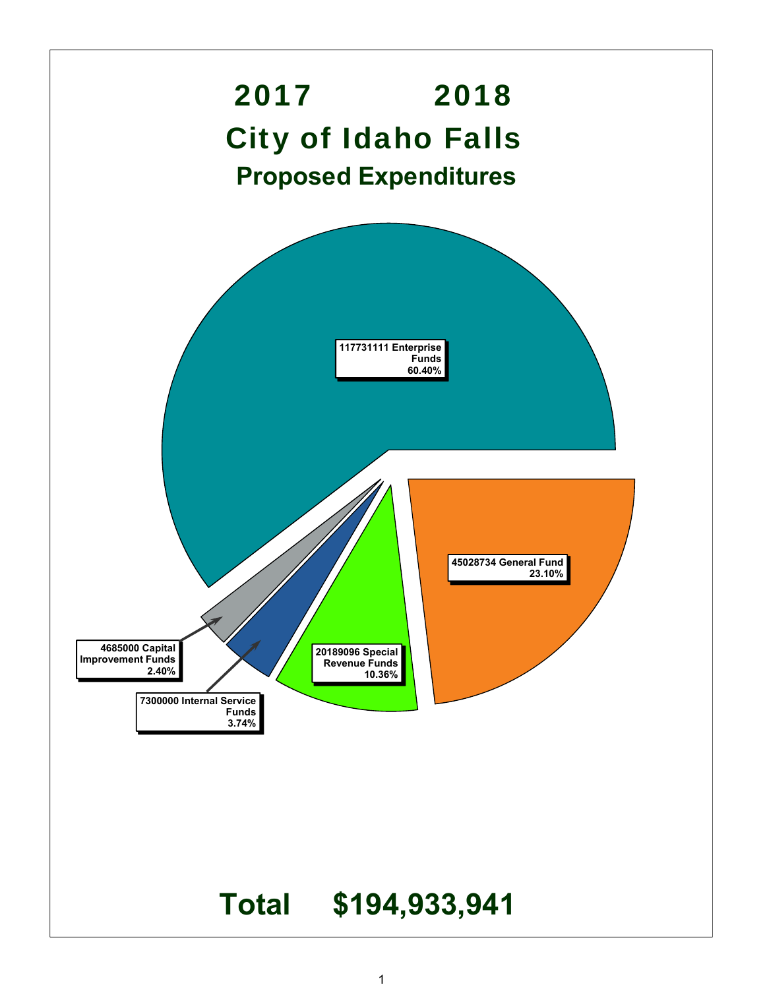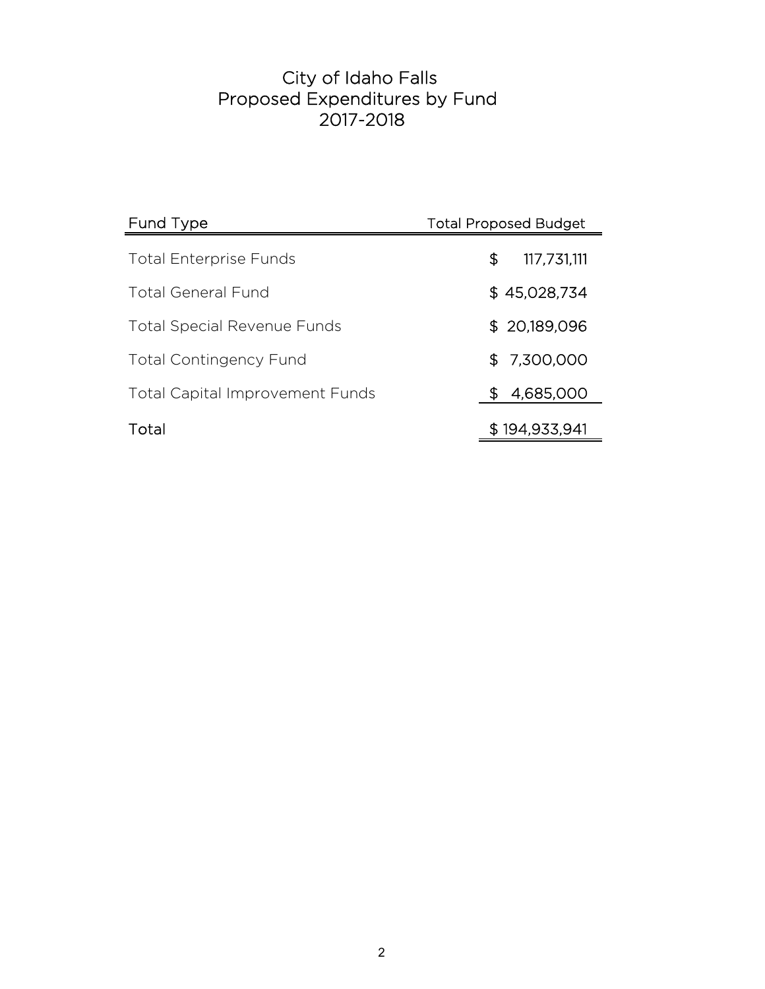# 2017-2018 City of Idaho Falls Proposed Expenditures by Fund

| Fund Type                              | <b>Total Proposed Budget</b> |  |
|----------------------------------------|------------------------------|--|
| <b>Total Enterprise Funds</b>          | \$<br>117,731,111            |  |
| <b>Total General Fund</b>              | \$45,028,734                 |  |
| <b>Total Special Revenue Funds</b>     | \$20,189,096                 |  |
| <b>Total Contingency Fund</b>          | \$7,300,000                  |  |
| <b>Total Capital Improvement Funds</b> | 4,685,000<br>S.              |  |
| Total                                  | \$194,933,941                |  |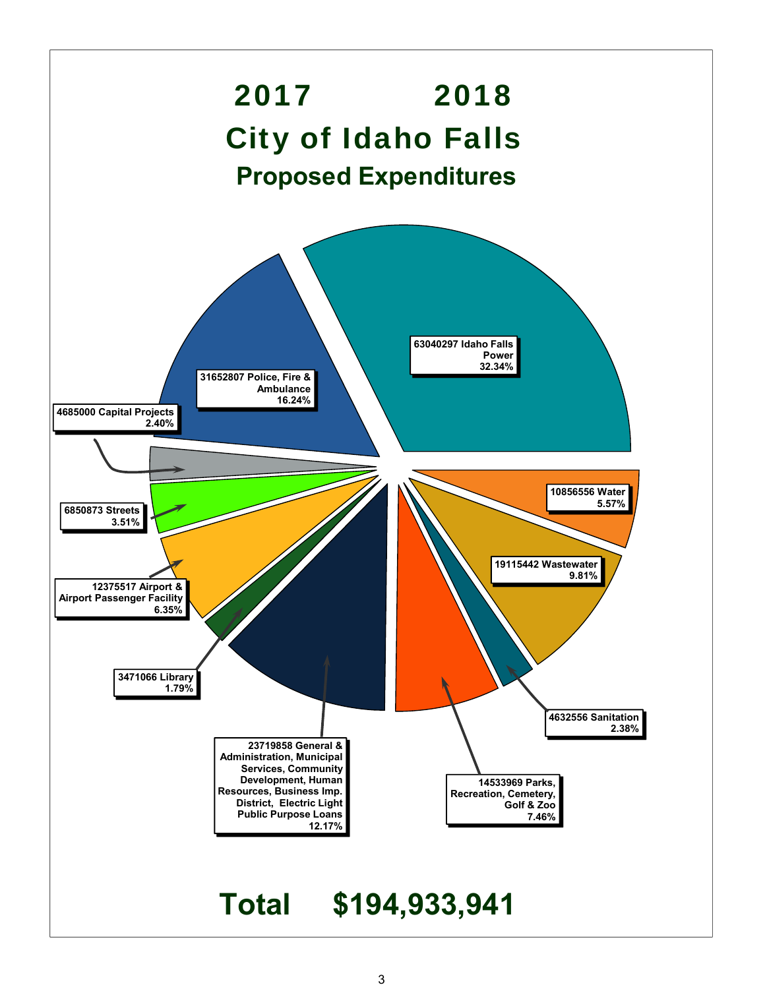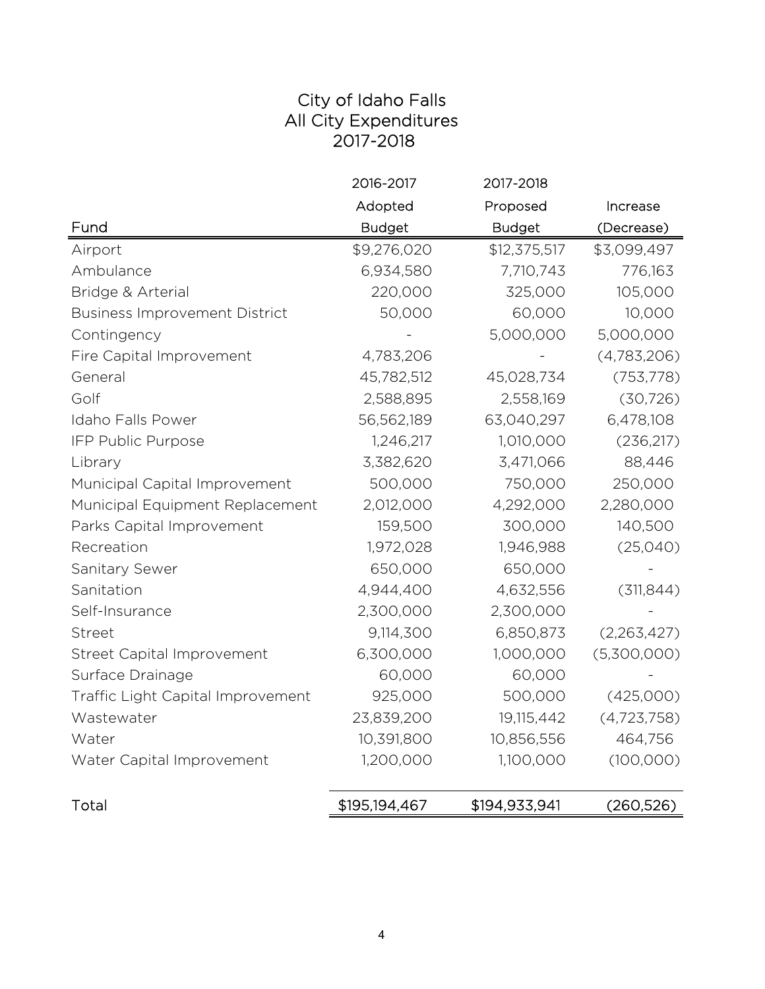## City of Idaho Falls All City Expenditures 2017-2018

|                                      | 2016-2017     | 2017-2018     |               |
|--------------------------------------|---------------|---------------|---------------|
|                                      | Adopted       | Proposed      | Increase      |
| Fund                                 | <b>Budget</b> | <b>Budget</b> | (Decrease)    |
| Airport                              | \$9,276,020   | \$12,375,517  | \$3,099,497   |
| Ambulance                            | 6,934,580     | 7,710,743     | 776,163       |
| Bridge & Arterial                    | 220,000       | 325,000       | 105,000       |
| <b>Business Improvement District</b> | 50,000        | 60,000        | 10,000        |
| Contingency                          |               | 5,000,000     | 5,000,000     |
| Fire Capital Improvement             | 4,783,206     |               | (4,783,206)   |
| General                              | 45,782,512    | 45,028,734    | (753, 778)    |
| Golf                                 | 2,588,895     | 2,558,169     | (30, 726)     |
| Idaho Falls Power                    | 56,562,189    | 63,040,297    | 6,478,108     |
| IFP Public Purpose                   | 1,246,217     | 1,010,000     | (236, 217)    |
| Library                              | 3,382,620     | 3,471,066     | 88,446        |
| Municipal Capital Improvement        | 500,000       | 750,000       | 250,000       |
| Municipal Equipment Replacement      | 2,012,000     | 4,292,000     | 2,280,000     |
| Parks Capital Improvement            | 159,500       | 300,000       | 140,500       |
| Recreation                           | 1,972,028     | 1,946,988     | (25,040)      |
| Sanitary Sewer                       | 650,000       | 650,000       |               |
| Sanitation                           | 4,944,400     | 4,632,556     | (311, 844)    |
| Self-Insurance                       | 2,300,000     | 2,300,000     |               |
| Street                               | 9,114,300     | 6,850,873     | (2,263,427)   |
| <b>Street Capital Improvement</b>    | 6,300,000     | 1,000,000     | (5,300,000)   |
| Surface Drainage                     | 60,000        | 60,000        |               |
| Traffic Light Capital Improvement    | 925,000       | 500,000       | (425,000)     |
| Wastewater                           | 23,839,200    | 19,115,442    | (4, 723, 758) |
| Water                                | 10,391,800    | 10,856,556    | 464,756       |
| Water Capital Improvement            | 1,200,000     | 1,100,000     | (100,000)     |
| Total                                | \$195,194,467 | \$194,933,941 | (260,526)     |
|                                      |               |               |               |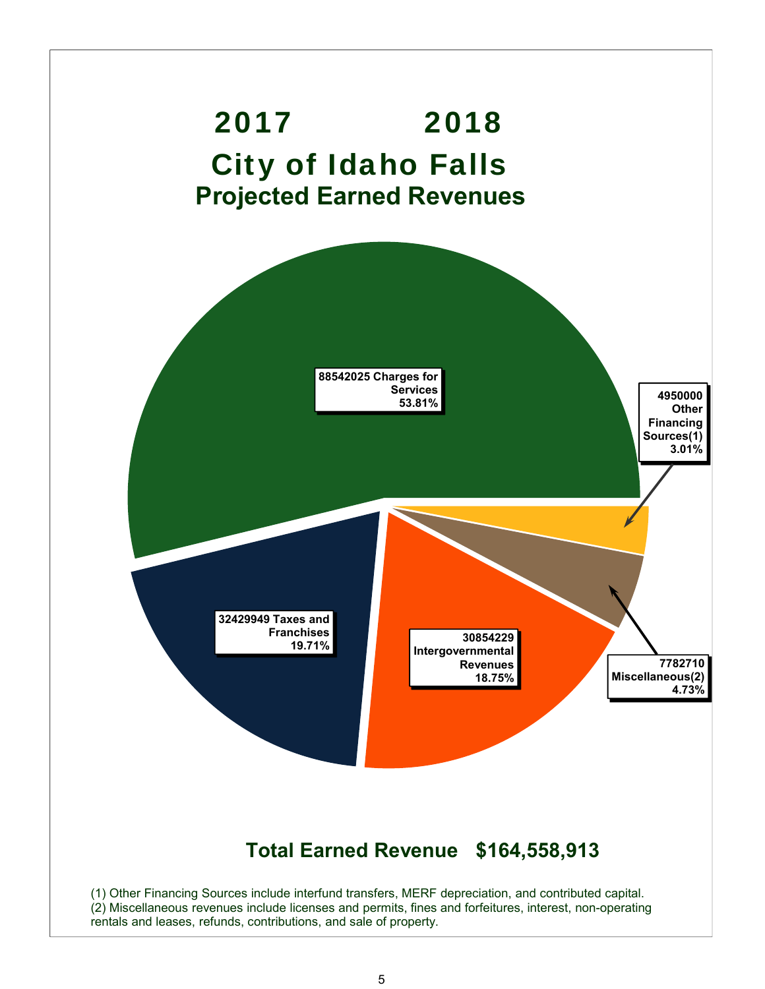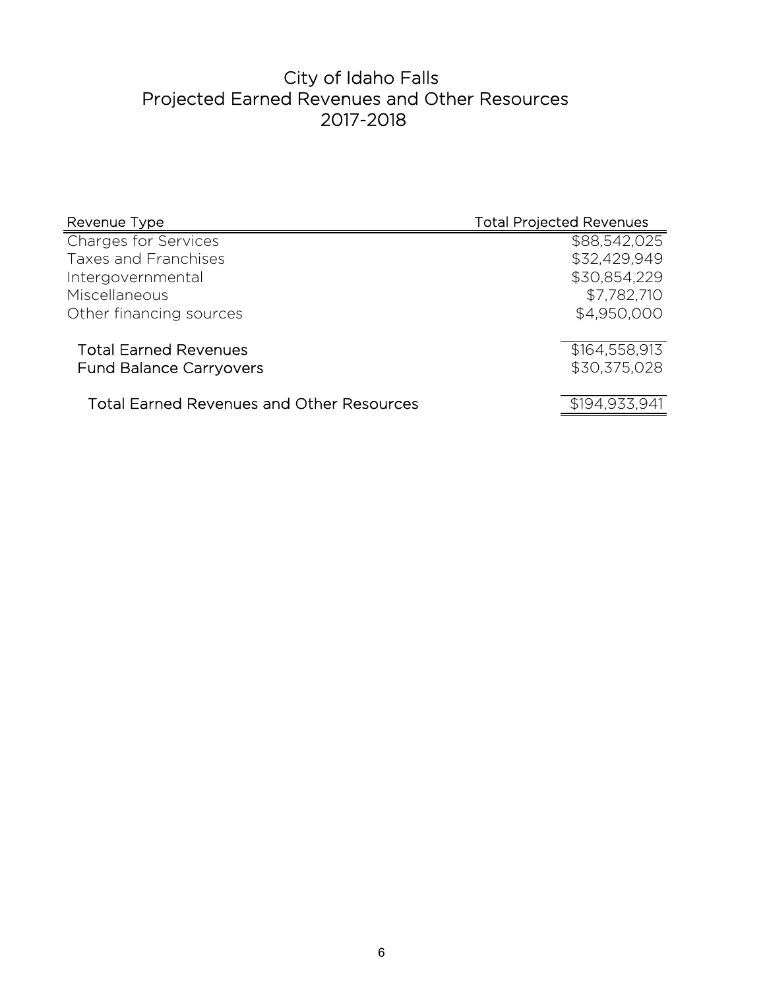# City of Idaho Falls Projected Earned Revenues and Other Resources 2017-2018

| Revenue Type                                     | <b>Total Projected Revenues</b> |
|--------------------------------------------------|---------------------------------|
| <b>Charges for Services</b>                      | \$88,542,025                    |
| <b>Taxes and Franchises</b>                      | \$32,429,949                    |
| Intergovernmental                                | \$30,854,229                    |
| Miscellaneous                                    | \$7,782,710                     |
| Other financing sources                          | \$4,950,000                     |
|                                                  |                                 |
| <b>Total Earned Revenues</b>                     | \$164,558,913                   |
| <b>Fund Balance Carryovers</b>                   | \$30,375,028                    |
|                                                  |                                 |
| <b>Total Earned Revenues and Other Resources</b> | \$194,933,941                   |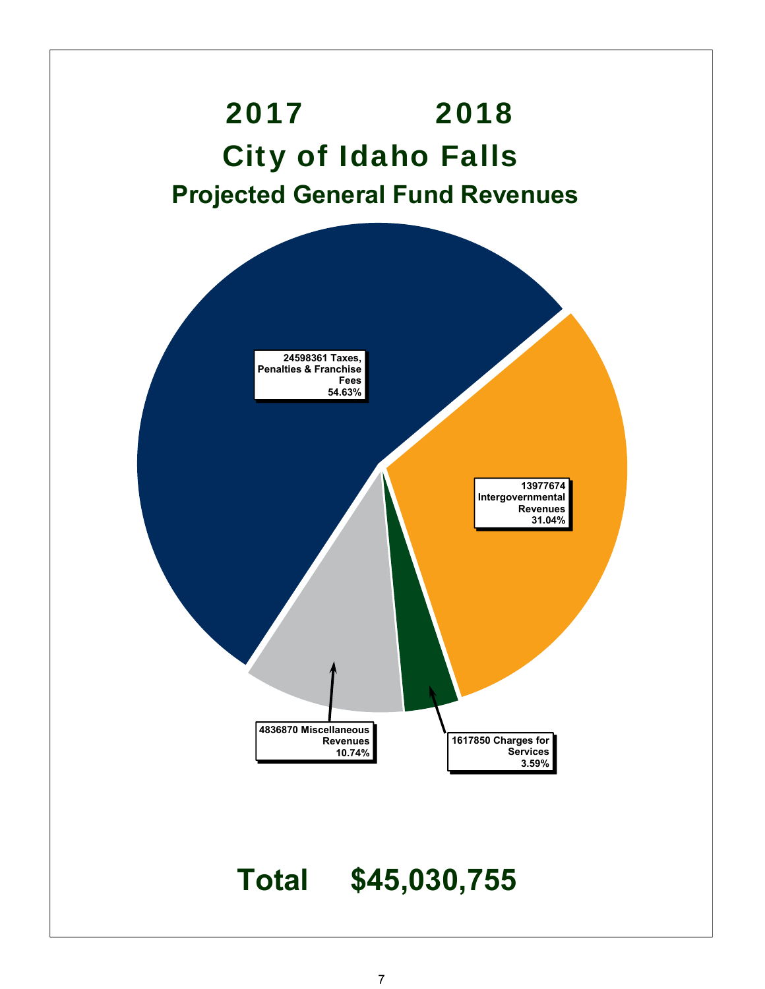

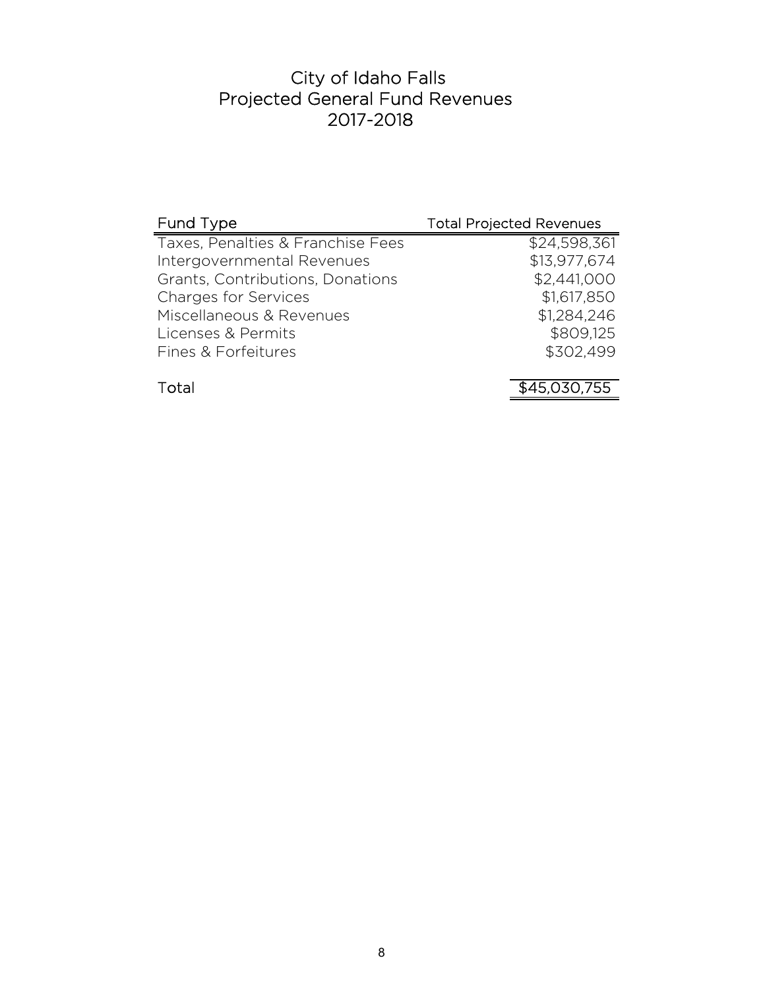# City of Idaho Falls Projected General Fund Revenues 2017-2018

| Fund Type                         | <b>Total Projected Revenues</b> |
|-----------------------------------|---------------------------------|
| Taxes, Penalties & Franchise Fees | \$24,598,361                    |
| Intergovernmental Revenues        | \$13,977,674                    |
| Grants, Contributions, Donations  | \$2,441,000                     |
| <b>Charges for Services</b>       | \$1,617,850                     |
| Miscellaneous & Revenues          | \$1,284,246                     |
| Licenses & Permits                | \$809,125                       |
| Fines & Forfeitures               | \$302,499                       |
|                                   |                                 |
| Total                             | \$45,030,755                    |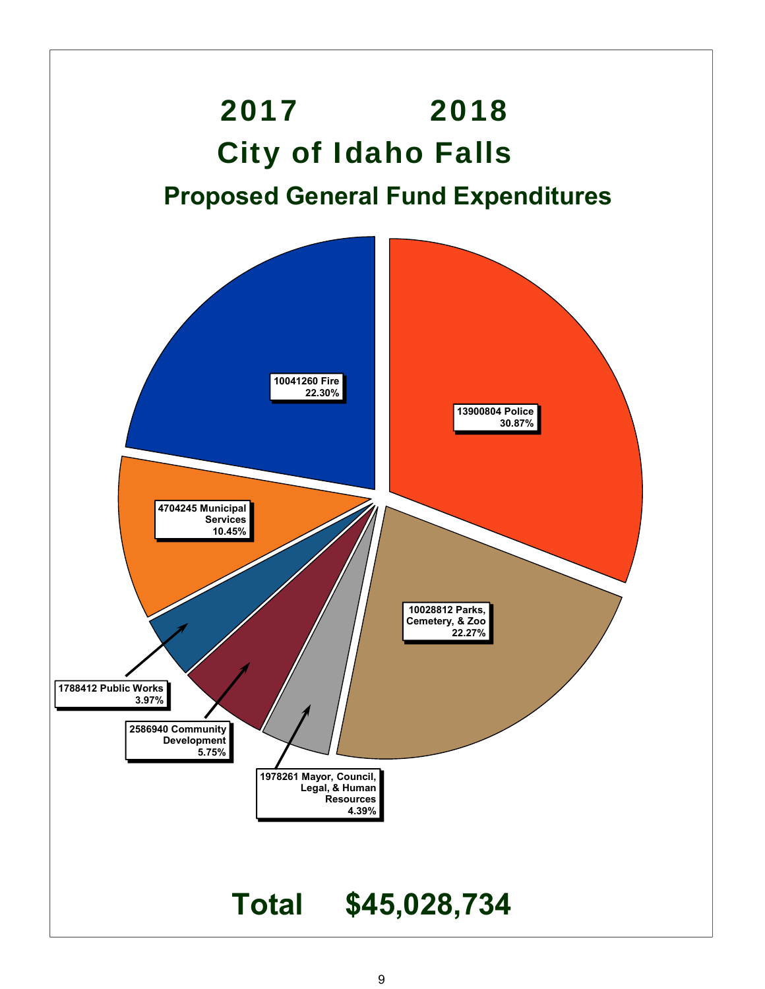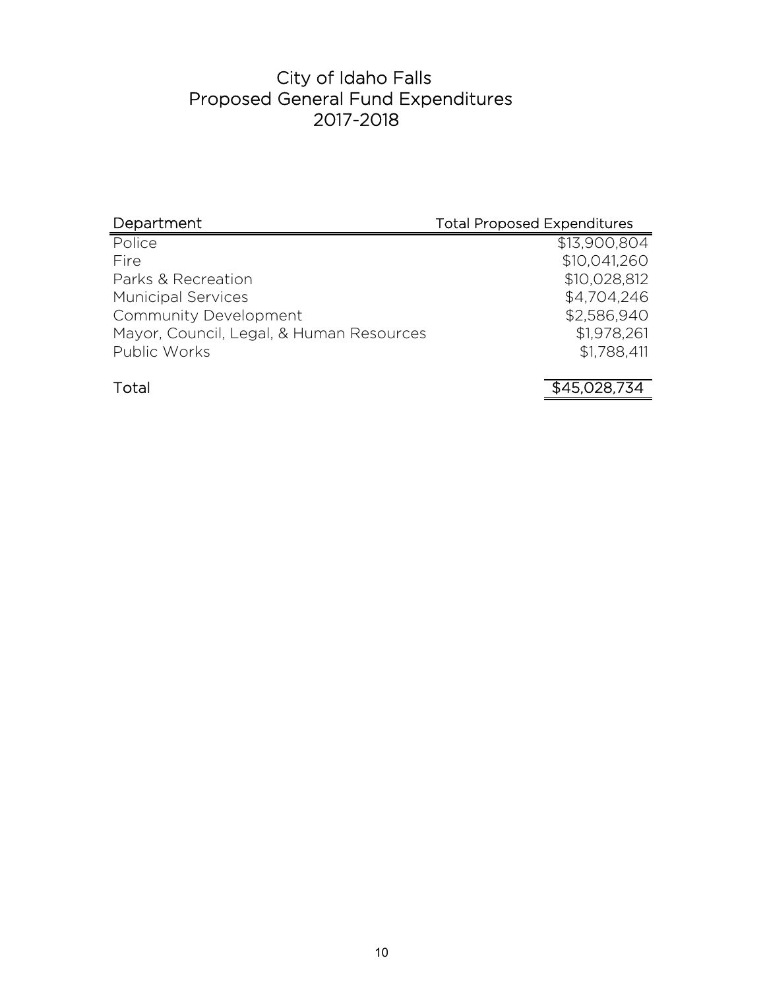# City of Idaho Falls Proposed General Fund Expenditures 2017-2018

| Department                               | <b>Total Proposed Expenditures</b> |
|------------------------------------------|------------------------------------|
| Police                                   | \$13,900,804                       |
| Fire                                     | \$10,041,260                       |
| Parks & Recreation                       | \$10,028,812                       |
| <b>Municipal Services</b>                | \$4,704,246                        |
| Community Development                    | \$2,586,940                        |
| Mayor, Council, Legal, & Human Resources | \$1,978,261                        |
| Public Works                             | \$1,788,411                        |
|                                          |                                    |

Total 345,028,734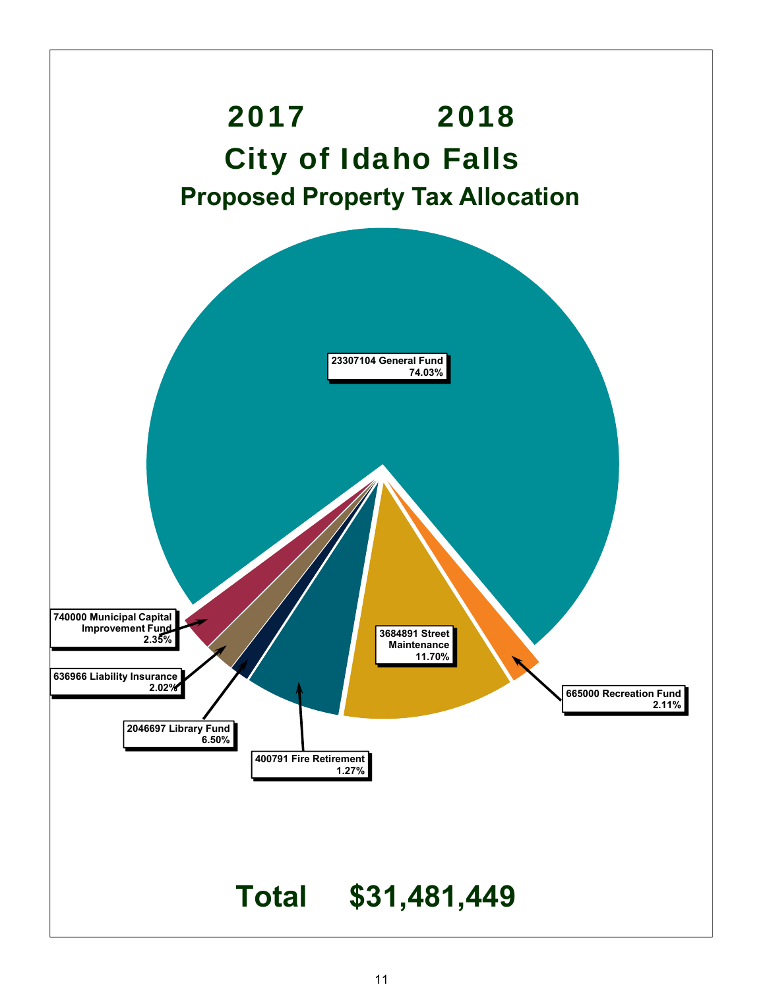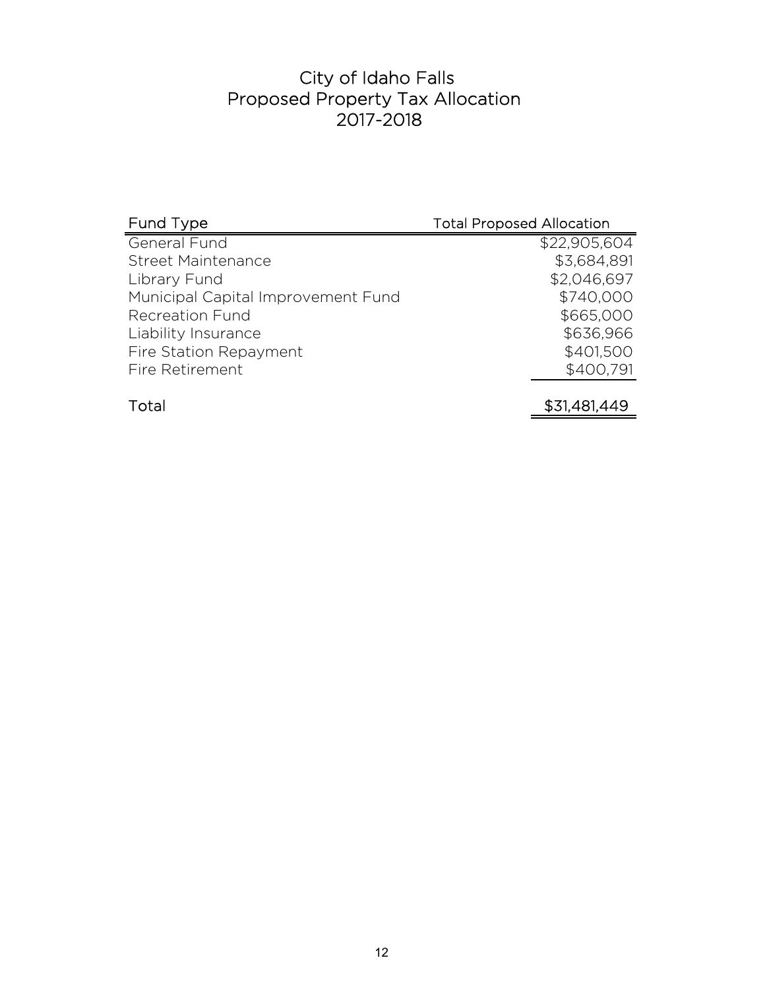## City of Idaho Falls Proposed Property Tax Allocation 2017-2018

| Fund Type                          | <b>Total Proposed Allocation</b> |
|------------------------------------|----------------------------------|
| General Fund                       | \$22,905,604                     |
| <b>Street Maintenance</b>          | \$3,684,891                      |
| Library Fund                       | \$2,046,697                      |
| Municipal Capital Improvement Fund | \$740,000                        |
| <b>Recreation Fund</b>             | \$665,000                        |
| Liability Insurance                | \$636,966                        |
| Fire Station Repayment             | \$401,500                        |
| Fire Retirement                    | \$400,791                        |
|                                    |                                  |
| Total                              | \$31,481,449                     |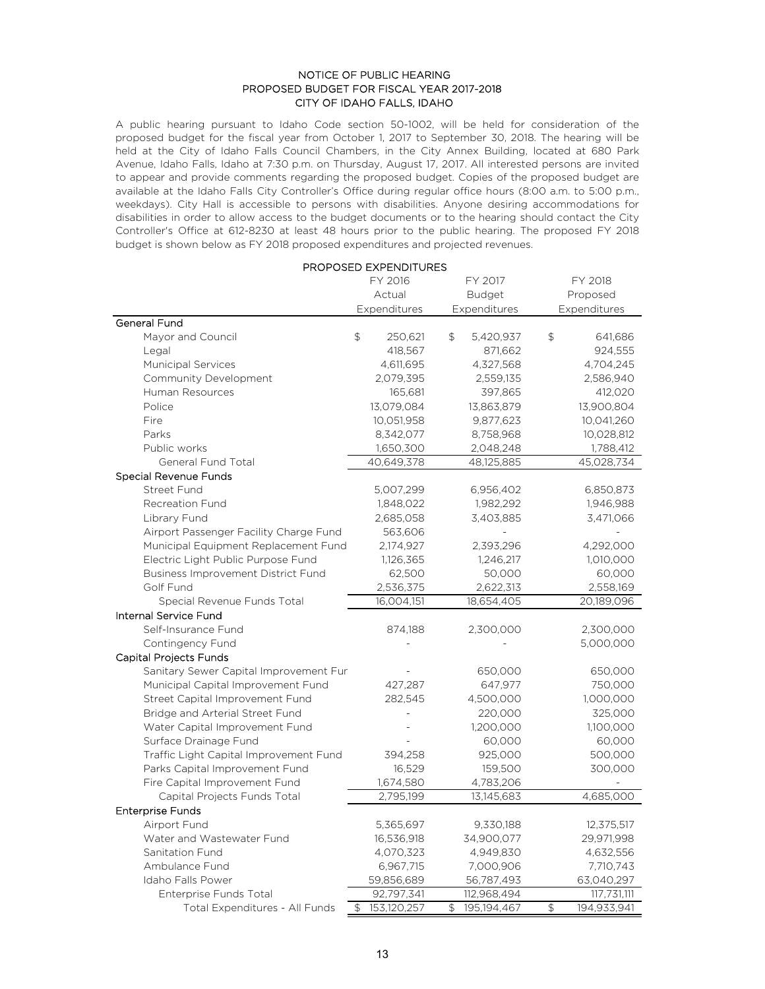#### NOTICE OF PUBLIC HEARING PROPOSED BUDGET FOR FISCAL YEAR 2017-2018 CITY OF IDAHO FALLS, IDAHO

A public hearing pursuant to Idaho Code section 50-1002, will be held for consideration of the proposed budget for the fiscal year from October 1, 2017 to September 30, 2018. The hearing will be held at the City of Idaho Falls Council Chambers, in the City Annex Building, located at 680 Park Avenue, Idaho Falls, Idaho at 7:30 p.m. on Thursday, August 17, 2017. All interested persons are invited to appear and provide comments regarding the proposed budget. Copies of the proposed budget are available at the Idaho Falls City Controller's Office during regular office hours (8:00 a.m. to 5:00 p.m., weekdays). City Hall is accessible to persons with disabilities. Anyone desiring accommodations for disabilities in order to allow access to the budget documents or to the hearing should contact the City Controller's Office at 612-8230 at least 48 hours prior to the public hearing. The proposed FY 2018 budget is shown below as FY 2018 proposed expenditures and projected revenues.

|                                           | <b>PROPOSED EXPENDITURES</b> |                         |                   |  |
|-------------------------------------------|------------------------------|-------------------------|-------------------|--|
|                                           | FY 2016                      | FY 2017                 | FY 2018           |  |
|                                           | Actual                       | <b>Budget</b>           | Proposed          |  |
|                                           | Expenditures                 | Expenditures            | Expenditures      |  |
| General Fund                              |                              |                         |                   |  |
| Mayor and Council                         | \$<br>250,621                | \$<br>5,420,937         | \$<br>641,686     |  |
| Legal                                     | 418,567                      | 871,662                 | 924,555           |  |
| <b>Municipal Services</b>                 | 4,611,695                    | 4,327,568               | 4,704,245         |  |
| Community Development                     | 2,079,395                    | 2,559,135               | 2,586,940         |  |
| Human Resources                           | 165,681                      | 397,865                 | 412,020           |  |
| Police                                    | 13,079,084                   | 13,863,879              | 13,900,804        |  |
| Fire                                      | 10,051,958                   | 9,877,623               | 10,041,260        |  |
| Parks                                     | 8,342,077                    | 8,758,968               | 10,028,812        |  |
| Public works                              | 1,650,300                    | 2,048,248               | 1,788,412         |  |
| General Fund Total                        | 40,649,378                   | 48,125,885              | 45,028,734        |  |
| Special Revenue Funds                     |                              |                         |                   |  |
| Street Fund                               | 5,007,299                    | 6,956,402               | 6,850,873         |  |
| <b>Recreation Fund</b>                    | 1,848,022                    | 1,982,292               | 1,946,988         |  |
| Library Fund                              | 2,685,058                    | 3,403,885               | 3,471,066         |  |
| Airport Passenger Facility Charge Fund    | 563,606                      |                         |                   |  |
| Municipal Equipment Replacement Fund      | 2,174,927                    | 2,393,296               | 4,292,000         |  |
| Electric Light Public Purpose Fund        | 1,126,365                    | 1,246,217               | 1,010,000         |  |
| <b>Business Improvement District Fund</b> | 62,500                       | 50,000                  | 60,000            |  |
| Golf Fund                                 | 2,536,375                    | 2,622,313               | 2,558,169         |  |
| Special Revenue Funds Total               | 16,004,151                   | 18,654,405              | 20,189,096        |  |
| <b>Internal Service Fund</b>              |                              |                         |                   |  |
| Self-Insurance Fund                       | 874,188                      | 2,300,000               | 2,300,000         |  |
| Contingency Fund                          |                              |                         | 5,000,000         |  |
| Capital Projects Funds                    |                              |                         |                   |  |
| Sanitary Sewer Capital Improvement Fur    |                              | 650,000                 | 650,000           |  |
| Municipal Capital Improvement Fund        | 427,287                      | 647,977                 | 750,000           |  |
| Street Capital Improvement Fund           | 282,545                      | 4,500,000               | 1,000,000         |  |
| Bridge and Arterial Street Fund           |                              | 220,000                 | 325,000           |  |
| Water Capital Improvement Fund            |                              | 1,200,000               | 1,100,000         |  |
| Surface Drainage Fund                     |                              | 60,000                  | 60,000            |  |
| Traffic Light Capital Improvement Fund    | 394,258                      | 925,000                 | 500,000           |  |
|                                           |                              | 159,500                 | 300,000           |  |
| Parks Capital Improvement Fund            | 16,529                       |                         |                   |  |
| Fire Capital Improvement Fund             | 1,674,580<br>2,795,199       | 4,783,206<br>13,145,683 | 4,685,000         |  |
| Capital Projects Funds Total              |                              |                         |                   |  |
| <b>Enterprise Funds</b>                   |                              |                         |                   |  |
| Airport Fund                              | 5,365,697                    | 9,330,188               | 12,375,517        |  |
| Water and Wastewater Fund                 | 16,536,918                   | 34,900,077              | 29,971,998        |  |
| Sanitation Fund                           | 4,070,323                    | 4,949,830               | 4,632,556         |  |
| Ambulance Fund                            | 6,967,715                    | 7,000,906               | 7,710,743         |  |
| Idaho Falls Power                         | 59,856,689                   | 56,787,493              | 63,040,297        |  |
| Enterprise Funds Total                    | 92,797,341                   | 112,968,494             | 117,731,111       |  |
| Total Expenditures - All Funds            | 153,120,257<br>\$            | \$<br>195,194,467       | \$<br>194,933,941 |  |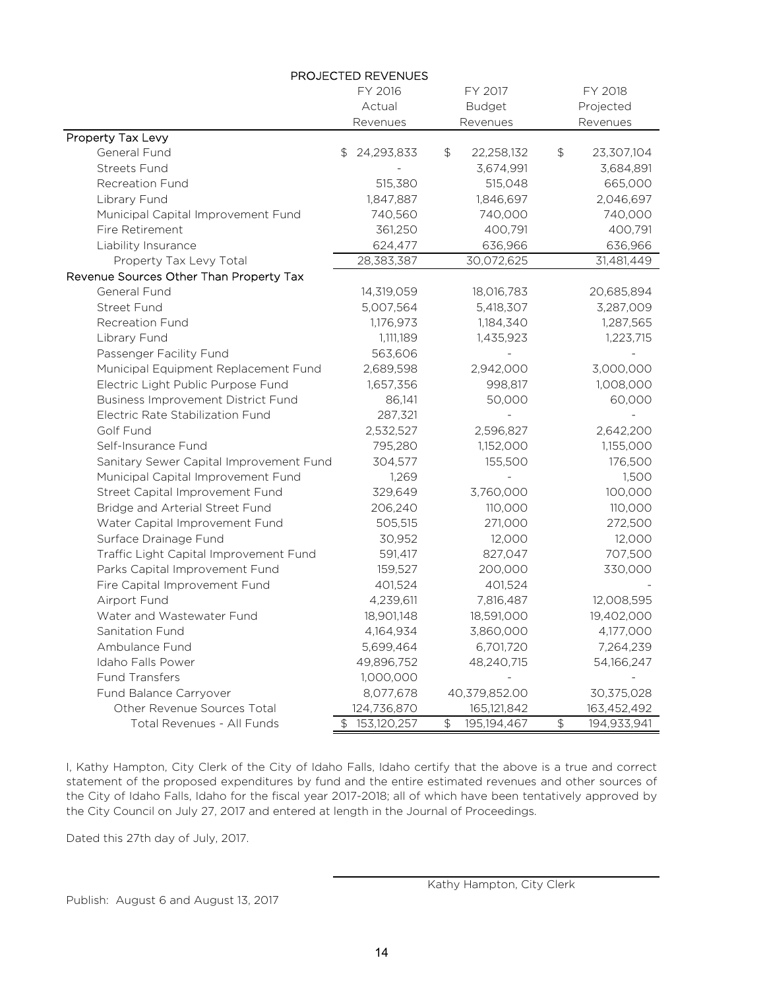| PROJECTED REVENUES                        |                    |                              |                               |  |
|-------------------------------------------|--------------------|------------------------------|-------------------------------|--|
|                                           | FY 2016<br>FY 2017 |                              | FY 2018                       |  |
|                                           | Actual             | <b>Budget</b>                | Projected                     |  |
|                                           | Revenues           | Revenues                     | Revenues                      |  |
| Property Tax Levy                         |                    |                              |                               |  |
| General Fund                              | 24,293,833<br>\$   | \$<br>22,258,132             | $\updownarrow$<br>23,307,104  |  |
| <b>Streets Fund</b>                       |                    | 3,674,991                    | 3,684,891                     |  |
| <b>Recreation Fund</b>                    | 515,380            | 515,048                      | 665,000                       |  |
| Library Fund                              | 1,847,887          | 1,846,697                    | 2,046,697                     |  |
| Municipal Capital Improvement Fund        | 740,560            | 740,000                      | 740,000                       |  |
| Fire Retirement                           | 361,250            | 400,791                      | 400,791                       |  |
| Liability Insurance                       | 624,477            | 636,966                      | 636,966                       |  |
| Property Tax Levy Total                   | 28,383,387         | 30,072,625                   | 31,481,449                    |  |
| Revenue Sources Other Than Property Tax   |                    |                              |                               |  |
| General Fund                              | 14,319,059         | 18,016,783                   | 20,685,894                    |  |
| <b>Street Fund</b>                        | 5,007,564          | 5,418,307                    | 3,287,009                     |  |
| <b>Recreation Fund</b>                    | 1,176,973          | 1,184,340                    | 1,287,565                     |  |
| Library Fund                              | 1,111,189          | 1,435,923                    | 1,223,715                     |  |
| Passenger Facility Fund                   | 563,606            |                              |                               |  |
| Municipal Equipment Replacement Fund      | 2,689,598          | 2,942,000                    | 3,000,000                     |  |
| Electric Light Public Purpose Fund        | 1,657,356          | 998,817                      | 1,008,000                     |  |
| <b>Business Improvement District Fund</b> | 86,141             | 50,000                       | 60,000                        |  |
| Electric Rate Stabilization Fund          | 287,321            |                              |                               |  |
| Golf Fund                                 | 2,532,527          | 2,596,827                    | 2,642,200                     |  |
| Self-Insurance Fund                       | 795,280            | 1,152,000                    | 1,155,000                     |  |
| Sanitary Sewer Capital Improvement Fund   | 304,577            | 155,500                      | 176,500                       |  |
| Municipal Capital Improvement Fund        | 1,269              |                              | 1,500                         |  |
| Street Capital Improvement Fund           | 329,649            | 3,760,000                    | 100,000                       |  |
| Bridge and Arterial Street Fund           | 206,240            | 110,000                      | 110,000                       |  |
| Water Capital Improvement Fund            | 505,515            | 271,000                      | 272,500                       |  |
| Surface Drainage Fund                     | 30,952             | 12,000                       | 12,000                        |  |
| Traffic Light Capital Improvement Fund    | 591,417            | 827,047                      | 707,500                       |  |
| Parks Capital Improvement Fund            | 159,527            | 200,000                      | 330,000                       |  |
| Fire Capital Improvement Fund             | 401,524            | 401,524                      |                               |  |
| Airport Fund                              | 4,239,611          | 7,816,487                    | 12,008,595                    |  |
| Water and Wastewater Fund                 | 18,901,148         | 18,591,000                   | 19,402,000                    |  |
| Sanitation Fund                           | 4,164,934          | 3,860,000                    | 4,177,000                     |  |
| Ambulance Fund                            | 5,699,464          | 6,701,720                    | 7,264,239                     |  |
| Idaho Falls Power                         | 49,896,752         | 48,240,715                   | 54,166,247                    |  |
| <b>Fund Transfers</b>                     | 1,000,000          |                              |                               |  |
| Fund Balance Carryover                    | 8,077,678          | 40,379,852.00                | 30,375,028                    |  |
| Other Revenue Sources Total               | 124,736,870        | 165,121,842                  | 163,452,492                   |  |
| Total Revenues - All Funds                | \$153,120,257      | $\frac{1}{2}$<br>195,194,467 | $\updownarrow$<br>194,933,941 |  |

I, Kathy Hampton, City Clerk of the City of Idaho Falls, Idaho certify that the above is a true and correct statement of the proposed expenditures by fund and the entire estimated revenues and other sources of the City of Idaho Falls, Idaho for the fiscal year 2017-2018; all of which have been tentatively approved by the City Council on July 27, 2017 and entered at length in the Journal of Proceedings.

Dated this 27th day of July, 2017.

Publish: August 6 and August 13, 2017

Kathy Hampton, City Clerk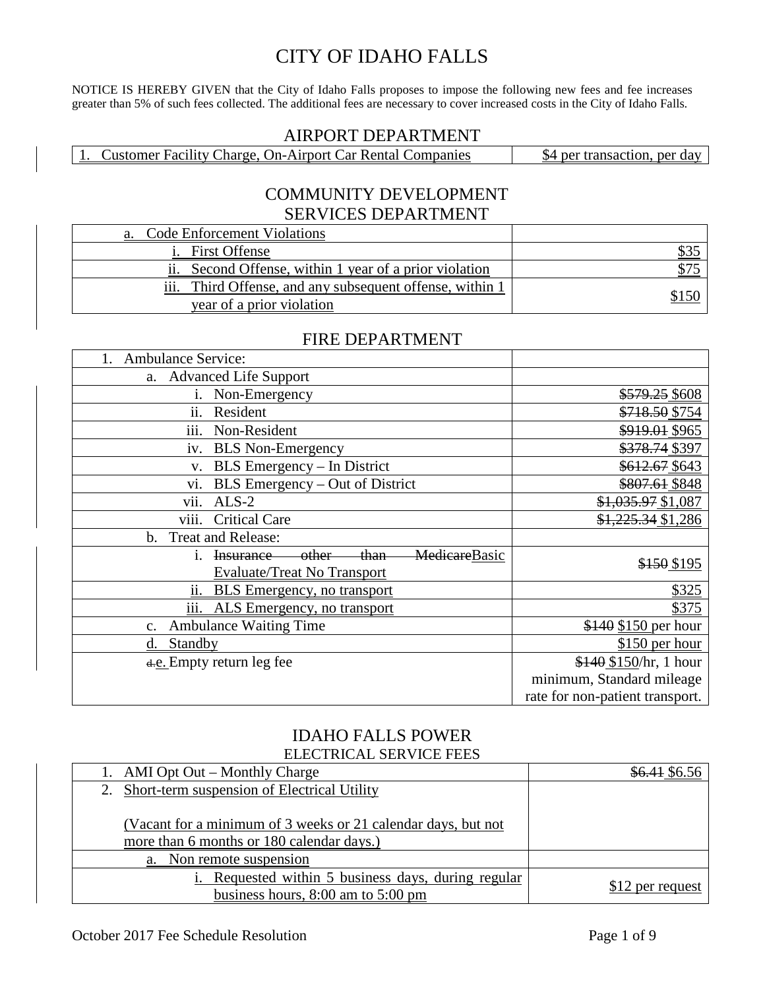# CITY OF IDAHO FALLS

NOTICE IS HEREBY GIVEN that the City of Idaho Falls proposes to impose the following new fees and fee increases greater than 5% of such fees collected. The additional fees are necessary to cover increased costs in the City of Idaho Falls.

#### AIRPORT DEPARTMENT

1. Customer Facility Charge, On-Airport Car Rental Companies | \$4 per transaction, per day

#### COMMUNITY DEVELOPMENT SERVICES DEPARTMENT

| <b>Code Enforcement Violations</b><br>a.                    |      |
|-------------------------------------------------------------|------|
| <b>First Offense</b>                                        | DO P |
| ii. Second Offense, within 1 year of a prior violation      | \$75 |
| iii.<br>Third Offense, and any subsequent offense, within 1 |      |
| year of a prior violation                                   |      |

#### FIRE DEPARTMENT

| <b>Ambulance Service:</b><br>1.                                                              |                                 |
|----------------------------------------------------------------------------------------------|---------------------------------|
| a. Advanced Life Support                                                                     |                                 |
| Non-Emergency<br>i.                                                                          | \$579.25 \$608                  |
| ii.<br>Resident                                                                              | \$718.50 \$754                  |
| iii.<br>Non-Resident                                                                         | \$919.01 \$965                  |
| <b>BLS</b> Non-Emergency<br>iv.                                                              | \$378.74 \$397                  |
| BLS Emergency - In District<br>V.                                                            | \$612.67 \$643                  |
| BLS Emergency – Out of District<br>VI.                                                       | \$807.61 \$848                  |
| vii.<br>$ALS-2$                                                                              | \$1,035.97 \$1,087              |
| viii.<br><b>Critical Care</b>                                                                | \$1,225.34 \$1,286              |
| <b>Treat and Release:</b><br>$\mathbf b$ .                                                   |                                 |
| MedicareBasic<br><del>other</del><br><del>-than-</del><br><b>Insurance</b><br>$\mathbf{1}$ . | \$150 \$195                     |
| <b>Evaluate/Treat No Transport</b>                                                           |                                 |
| <b>BLS</b> Emergency, no transport<br>ii.                                                    | \$325                           |
| iii. ALS Emergency, no transport                                                             | \$375                           |
| <b>Ambulance Waiting Time</b><br>$\mathbf{c}$ .                                              | \$140 \$150 per hour            |
| Standby<br>d.                                                                                | $$150$ per hour                 |
| d.e. Empty return leg fee                                                                    | $$140$ \$150/hr, 1 hour         |
|                                                                                              | minimum, Standard mileage       |
|                                                                                              | rate for non-patient transport. |

#### IDAHO FALLS POWER ELECTRICAL SERVICE FEES

| 1. AMI Opt Out – Monthly Charge                               | \$6.41\$6.56     |
|---------------------------------------------------------------|------------------|
| 2. Short-term suspension of Electrical Utility                |                  |
|                                                               |                  |
| (Vacant for a minimum of 3 weeks or 21 calendar days, but not |                  |
| more than 6 months or 180 calendar days.)                     |                  |
| a. Non remote suspension                                      |                  |
| <i>i.</i> Requested within 5 business days, during regular    | \$12 per request |
| business hours, $8:00$ am to $5:00$ pm                        |                  |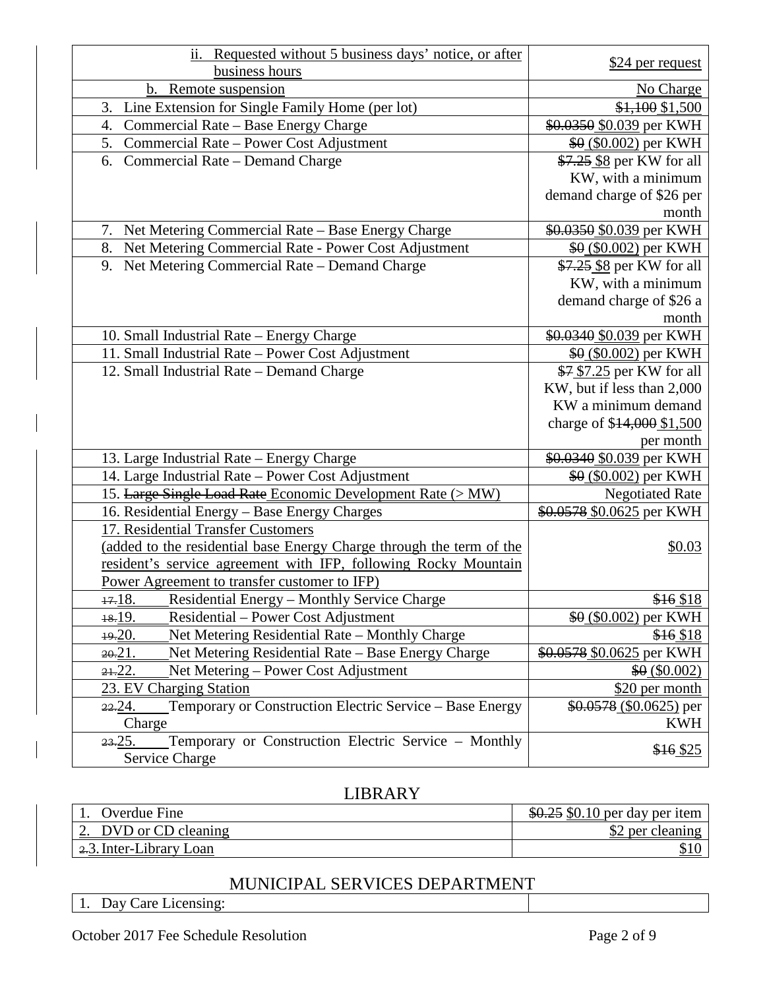| ii. Requested without 5 business days' notice, or after                    |                            |
|----------------------------------------------------------------------------|----------------------------|
| business hours                                                             | \$24 per request           |
| Remote suspension<br>b.                                                    | No Charge                  |
| Line Extension for Single Family Home (per lot)<br>3.                      | \$1,100 \$1,500            |
| Commercial Rate - Base Energy Charge<br>4.                                 | \$0.0350 \$0.039 per KWH   |
| 5.<br>Commercial Rate – Power Cost Adjustment                              | \$0 (\$0.002) per KWH      |
| 6. Commercial Rate - Demand Charge                                         | \$7.25 \$8 per KW for all  |
|                                                                            | KW, with a minimum         |
|                                                                            | demand charge of \$26 per  |
|                                                                            | month                      |
| Net Metering Commercial Rate - Base Energy Charge<br>7.                    | \$0.0350 \$0.039 per KWH   |
| Net Metering Commercial Rate - Power Cost Adjustment<br>8.                 | $$0 (0.002)$ per KWH       |
| Net Metering Commercial Rate - Demand Charge<br>9.                         | \$7.25 \$8 per KW for all  |
|                                                                            | KW, with a minimum         |
|                                                                            | demand charge of \$26 a    |
|                                                                            | month                      |
| 10. Small Industrial Rate - Energy Charge                                  | \$0.0340 \$0.039 per KWH   |
| 11. Small Industrial Rate - Power Cost Adjustment                          | $$0 (0.002)$ per KWH       |
| 12. Small Industrial Rate - Demand Charge                                  | \$7 \$7.25 per KW for all  |
|                                                                            | KW, but if less than 2,000 |
|                                                                            | KW a minimum demand        |
|                                                                            | charge of \$14,000 \$1,500 |
|                                                                            | per month                  |
| 13. Large Industrial Rate - Energy Charge                                  | \$0.0340 \$0.039 per KWH   |
| 14. Large Industrial Rate - Power Cost Adjustment                          | \$0 (\$0.002) per KWH      |
| 15. Large Single Load Rate Economic Development Rate (> MW)                | <b>Negotiated Rate</b>     |
| 16. Residential Energy - Base Energy Charges                               | \$0.0578 \$0.0625 per KWH  |
| 17. Residential Transfer Customers                                         |                            |
| (added to the residential base Energy Charge through the term of the       | \$0.03                     |
| resident's service agreement with IFP, following Rocky Mountain            |                            |
| Power Agreement to transfer customer to IFP)                               |                            |
| 17.18.<br><b>Residential Energy – Monthly Service Charge</b>               | \$16 \$18                  |
| 18.19.<br>Residential – Power Cost Adjustment                              | $60(0.002)$ per KWH        |
| Net Metering Residential Rate - Monthly Charge<br>19.20.                   | \$16 \$18                  |
| Net Metering Residential Rate – Base Energy Charge<br>$20 - 21$ .          | \$0.0578 \$0.0625 per KWH  |
| Net Metering - Power Cost Adjustment<br>$21-22$ .                          | \$0(\$0.002)               |
| 23. EV Charging Station                                                    | \$20 per month             |
| Temporary or Construction Electric Service - Base Energy<br><u>22.</u> 24. | $$0.0578(0.0625)$ per      |
| Charge                                                                     | <b>KWH</b>                 |
| Temporary or Construction Electric Service – Monthly<br>23.25.             | \$16 \$25                  |
| Service Charge                                                             |                            |

## LIBRARY

| Overdue Fine                           | $$0.25$ \$0.10 per day per item |
|----------------------------------------|---------------------------------|
| 2. DVD or CD cleaning                  | \$2 per cleaning                |
| $\frac{2.3}{2.3}$ . Inter-Library Loan |                                 |

## MUNICIPAL SERVICES DEPARTMENT

1. Day Care Licensing: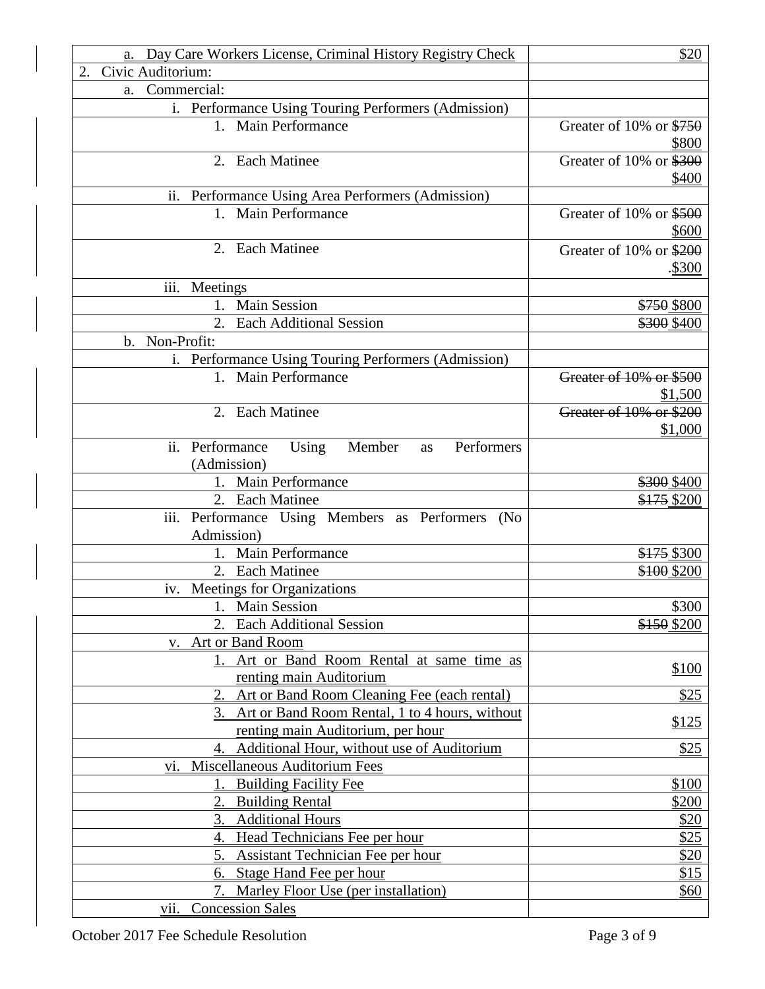| a. Day Care Workers License, Criminal History Registry Check | \$20                              |
|--------------------------------------------------------------|-----------------------------------|
| Civic Auditorium:<br>2.                                      |                                   |
| Commercial:<br>a.                                            |                                   |
| i. Performance Using Touring Performers (Admission)          |                                   |
| 1. Main Performance                                          | Greater of 10% or $$750$<br>\$800 |
| 2. Each Matinee                                              | Greater of 10% or \$300           |
|                                                              | \$400                             |
| ii. Performance Using Area Performers (Admission)            |                                   |
| 1. Main Performance                                          | Greater of 10% or \$500<br>\$600  |
| 2. Each Matinee                                              | Greater of 10% or \$200<br>.\$300 |
| iii.<br>Meetings                                             |                                   |
| 1. Main Session                                              | \$750 \$800                       |
| <b>Each Additional Session</b><br>2.                         | \$300 \$400                       |
| Non-Profit:<br>b.                                            |                                   |
| i. Performance Using Touring Performers (Admission)          |                                   |
| <b>Main Performance</b><br>$1_{\cdot}$                       | Greater of 10% or \$500           |
|                                                              | \$1,500                           |
| 2. Each Matinee                                              | Greater of 10% or \$200           |
|                                                              | \$1,000                           |
| ii. Performance<br>Using<br>Member<br>Performers<br>as       |                                   |
| (Admission)                                                  |                                   |
| 1. Main Performance                                          | \$300 \$400                       |
| 2. Each Matinee                                              | \$175 \$200                       |
| iii. Performance Using Members as Performers<br>(No          |                                   |
| Admission)                                                   |                                   |
| 1. Main Performance                                          | \$175 \$300                       |
| 2. Each Matinee                                              | \$100 \$200                       |
| iv. Meetings for Organizations                               |                                   |
| 1. Main Session                                              | \$300                             |
| <b>Each Additional Session</b><br>2.                         | \$150 \$200                       |
| Art or Band Room<br>V.                                       |                                   |
| Art or Band Room Rental at same time as<br>1.                |                                   |
| renting main Auditorium                                      | \$100                             |
| Art or Band Room Cleaning Fee (each rental)                  | \$25                              |
| Art or Band Room Rental, 1 to 4 hours, without<br>3.         |                                   |
| renting main Auditorium, per hour                            | \$125                             |
| Additional Hour, without use of Auditorium<br>4.             | \$25                              |
| Miscellaneous Auditorium Fees<br>VI.                         |                                   |
| <b>Building Facility Fee</b>                                 | \$100                             |
| <b>Building Rental</b>                                       | \$200                             |
| <b>Additional Hours</b><br>3.                                | \$20                              |
| Head Technicians Fee per hour<br>4.                          | \$25                              |
| <b>Assistant Technician Fee per hour</b><br>5.               | \$20                              |
| 6. Stage Hand Fee per hour                                   | \$15                              |
| Marley Floor Use (per installation)                          | \$60                              |
| <b>Concession Sales</b><br>V11.                              |                                   |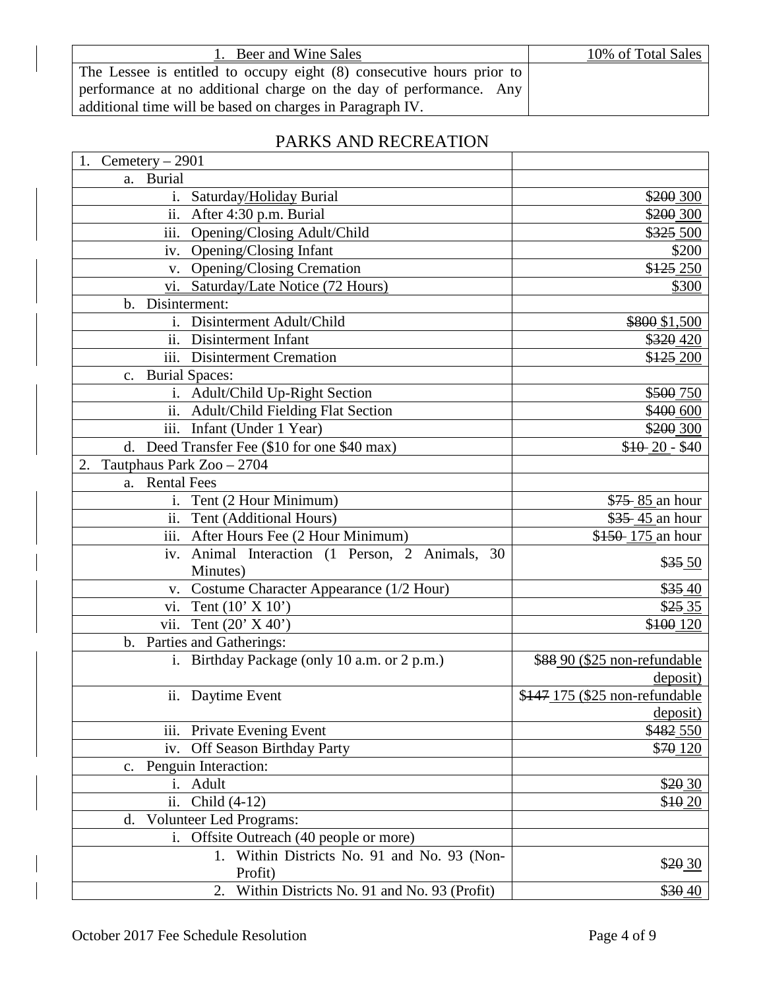| 1. Beer and Wine Sales                                                | 10% of Total Sales |
|-----------------------------------------------------------------------|--------------------|
| The Lessee is entitled to occupy eight (8) consecutive hours prior to |                    |
| performance at no additional charge on the day of performance. Any    |                    |
| additional time will be based on charges in Paragraph IV.             |                    |

# PARKS AND RECREATION

| Cemetery - 2901                                             |                                |
|-------------------------------------------------------------|--------------------------------|
| a. Burial                                                   |                                |
| Saturday/Holiday Burial<br>$\mathbf{i}$ .                   | \$200 300                      |
| After 4:30 p.m. Burial<br>ii.                               | \$200 300                      |
| iii.<br>Opening/Closing Adult/Child                         | \$325 500                      |
| Opening/Closing Infant<br>iv.                               | \$200                          |
| v. Opening/Closing Cremation                                | \$125 250                      |
| Saturday/Late Notice (72 Hours)<br>VI.                      | \$300                          |
| b. Disinterment:                                            |                                |
| i. Disinterment Adult/Child                                 | \$800 \$1,500                  |
| $\overline{ii}$ .<br>Disinterment Infant                    | \$320 420                      |
| iii. Disinterment Cremation                                 | \$125,200                      |
| <b>Burial Spaces:</b><br>$c_{\cdot}$                        |                                |
| i. Adult/Child Up-Right Section                             | \$500 750                      |
| ii. Adult/Child Fielding Flat Section                       | \$400 600                      |
| $\overline{\text{iii}}$ .<br>Infant (Under 1 Year)          | \$200 300                      |
| d. Deed Transfer Fee (\$10 for one \$40 max)                | $$10-20-$40$                   |
| Tautphaus Park Zoo - 2704                                   |                                |
| <b>Rental Fees</b><br>a.                                    |                                |
| Tent (2 Hour Minimum)<br>i.                                 | \$75 85 an hour                |
| $\overline{ii}$ .<br>Tent (Additional Hours)                | \$35 45 an hour                |
| iii. After Hours Fee (2 Hour Minimum)                       | \$150 175 an hour              |
| iv. Animal Interaction (1 Person, 2 Animals, 30             |                                |
| Minutes)                                                    | $$35\,50$                      |
| Costume Character Appearance (1/2 Hour)<br>V.               | \$ <del>35</del> .40           |
| Tent $(10' \times 10')$<br>vi.                              | $$25\,35$                      |
| vii.<br>Tent $(20' X 40')$                                  | \$100 120                      |
| b. Parties and Gatherings:                                  |                                |
| Birthday Package (only 10 a.m. or 2 p.m.)<br>$\mathbf{i}$ . | \$88 90 (\$25 non-refundable   |
|                                                             | deposit)                       |
| ii. Daytime Event                                           | \$147 175 (\$25 non-refundable |
|                                                             | deposit)                       |
| Private Evening Event<br>$\overline{111}$ .                 | \$482_550                      |
| Off Season Birthday Party<br>iv.                            | \$70 120                       |
| Penguin Interaction:<br>c.                                  |                                |
| i. Adult                                                    | \$20 30                        |
| ii.<br>Child (4-12)                                         | $$10\,20$                      |
| d. Volunteer Led Programs:                                  |                                |
| i. Offsite Outreach (40 people or more)                     |                                |
| 1. Within Districts No. 91 and No. 93 (Non-                 |                                |
| Profit)                                                     | \$20 30                        |
| Within Districts No. 91 and No. 93 (Profit)<br>2.           | \$30 40                        |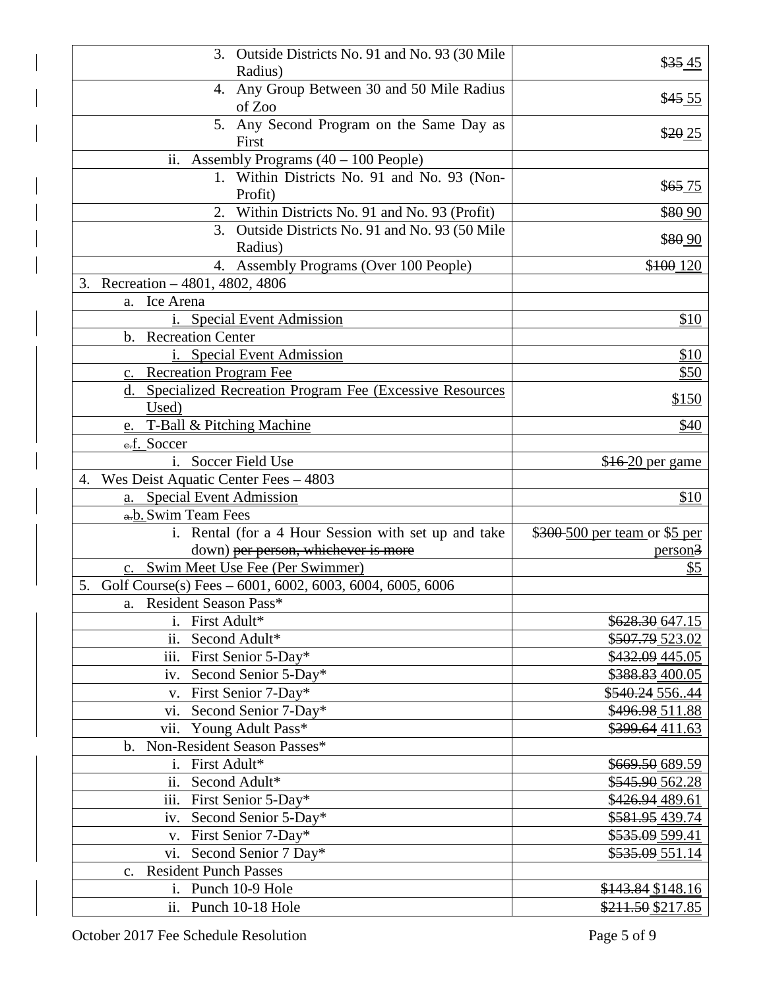| 3. Outside Districts No. 91 and No. 93 (30 Mile                 |                                        |
|-----------------------------------------------------------------|----------------------------------------|
| Radius)                                                         | \$3545                                 |
| 4. Any Group Between 30 and 50 Mile Radius<br>of Zoo            | \$45.55                                |
| 5. Any Second Program on the Same Day as                        | \$20 25                                |
| First                                                           |                                        |
| ii. Assembly Programs $(40 - 100$ People)                       |                                        |
| 1. Within Districts No. 91 and No. 93 (Non-<br>Profit)          | $$65 \underline{75}$                   |
| 2. Within Districts No. 91 and No. 93 (Profit)                  | \$80.90                                |
| 3. Outside Districts No. 91 and No. 93 (50 Mile                 |                                        |
| Radius)                                                         | \$80.90                                |
| 4. Assembly Programs (Over 100 People)                          | \$100 120                              |
| Recreation - 4801, 4802, 4806<br>3.                             |                                        |
| Ice Arena<br>a.                                                 |                                        |
| i. Special Event Admission                                      | \$10                                   |
| b. Recreation Center                                            |                                        |
| i. Special Event Admission                                      | \$10                                   |
| c. Recreation Program Fee                                       | \$50                                   |
| d. Specialized Recreation Program Fee (Excessive Resources      |                                        |
| Used)                                                           | \$150                                  |
| e. T-Ball & Pitching Machine                                    | \$40                                   |
| e.f. Soccer                                                     |                                        |
| i. Soccer Field Use                                             | \$16 20 per game                       |
| Wes Deist Aquatic Center Fees - 4803<br>4.                      |                                        |
|                                                                 |                                        |
| a. Special Event Admission                                      | \$10                                   |
| a.b. Swim Team Fees                                             |                                        |
| i. Rental (for a 4 Hour Session with set up and take            | \$300-500 per team or \$5 per          |
| down) per person, whichever is more                             | person <sup>3</sup>                    |
| c. Swim Meet Use Fee (Per Swimmer)                              | $\frac{$5}{}$                          |
| 5.<br>Golf Course(s) Fees $-6001, 6002, 6003, 6004, 6005, 6006$ |                                        |
| a. Resident Season Pass*                                        |                                        |
| i. First Adult*                                                 | \$628.30 647.15                        |
| ii. Second Adult*                                               | \$507.79 523.02                        |
| iii. First Senior 5-Day*                                        | $\overline{$432.09}$ 445.05            |
| iv. Second Senior 5-Day*                                        | \$388.83 400.05                        |
| v. First Senior 7-Day*                                          | \$540.24 55644                         |
| vi. Second Senior 7-Day*                                        | \$496.98 511.88                        |
| vii. Young Adult Pass*                                          | \$399.64 411.63                        |
| b. Non-Resident Season Passes*                                  |                                        |
| First Adult*<br>i.                                              | \$669.50 689.59                        |
| Second Adult*<br>ii.                                            | \$545.90 562.28                        |
| iii. First Senior 5-Day*                                        | \$426.94 489.61                        |
| Second Senior 5-Day*<br>iv.                                     | \$581.95 439.74                        |
| v. First Senior 7-Day*                                          | \$535.09 599.41                        |
| vi. Second Senior 7 Day*                                        | \$535.09 551.14                        |
| c. Resident Punch Passes                                        |                                        |
| i. Punch 10-9 Hole<br>ii. Punch 10-18 Hole                      | \$143.84 \$148.16<br>\$211.50 \$217.85 |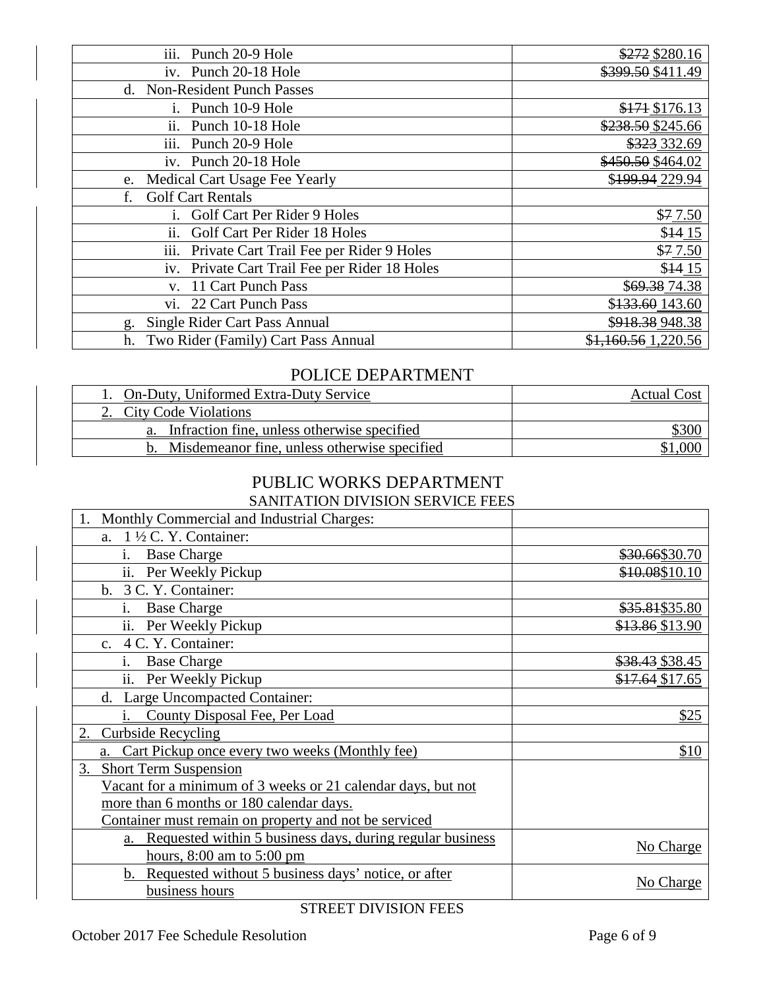| iii.<br>Punch 20-9 Hole                           | \$272\$3280.16      |
|---------------------------------------------------|---------------------|
| iv. Punch 20-18 Hole                              | \$399.50 \$411.49   |
| d. Non-Resident Punch Passes                      |                     |
| i. Punch 10-9 Hole                                | \$171 \$176.13      |
| Punch 10-18 Hole<br>11.                           | \$238.50 \$245.66   |
| Punch 20-9 Hole<br>111.                           | \$323 332.69        |
| iv. Punch 20-18 Hole                              | \$450.50 \$464.02   |
| Medical Cart Usage Fee Yearly<br>e.               | \$199.94 229.94     |
| <b>Golf Cart Rentals</b><br>f.                    |                     |
| Golf Cart Per Rider 9 Holes<br>1.                 | \$7.50              |
| Golf Cart Per Rider 18 Holes<br>$\overline{11}$ . | $$14_15$            |
| iii.<br>Private Cart Trail Fee per Rider 9 Holes  | \$7.50              |
| iv. Private Cart Trail Fee per Rider 18 Holes     | \$1415              |
| 11 Cart Punch Pass<br>V.                          | \$69.38 74.38       |
| 22 Cart Punch Pass<br>VI.                         | \$133.60 143.60     |
| Single Rider Cart Pass Annual<br>g.               | \$918.38 948.38     |
| Two Rider (Family) Cart Pass Annual<br>h.         | \$1,160.56 1,220.56 |

## POLICE DEPARTMENT

| 1. On-Duty, Uniformed Extra-Duty Service        | <b>Actual Cost</b> |
|-------------------------------------------------|--------------------|
| 2. City Code Violations                         |                    |
| a. Infraction fine, unless otherwise specified  | <u>\$300</u>       |
| b. Misdemeanor fine, unless otherwise specified |                    |

#### PUBLIC WORKS DEPARTMENT SANITATION DIVISION SERVICE FEES

| SANITATION DIVISION SENVICE FEES                             |                 |
|--------------------------------------------------------------|-----------------|
| Monthly Commercial and Industrial Charges:                   |                 |
| a. $1\frac{1}{2}$ C. Y. Container:                           |                 |
| <b>Base Charge</b><br>i.                                     | \$30.66\$30.70  |
| ii. Per Weekly Pickup                                        | \$10.08\$10.10  |
| b. 3 C. Y. Container:                                        |                 |
| i.<br><b>Base Charge</b>                                     | \$35.81\$35.80  |
| ii. Per Weekly Pickup                                        | \$13.86 \$13.90 |
| c. 4 C. Y. Container:                                        |                 |
| i.<br><b>Base Charge</b>                                     | \$38.43 \$38.45 |
| ii. Per Weekly Pickup                                        | \$17.64 \$17.65 |
| d. Large Uncompacted Container:                              |                 |
| County Disposal Fee, Per Load                                | \$25            |
| 2. Curbside Recycling                                        |                 |
| Cart Pickup once every two weeks (Monthly fee)               | \$10            |
| <b>Short Term Suspension</b><br>3.                           |                 |
| Vacant for a minimum of 3 weeks or 21 calendar days, but not |                 |
| more than 6 months or 180 calendar days.                     |                 |
| Container must remain on property and not be serviced        |                 |
| a. Requested within 5 business days, during regular business | No Charge       |
| hours, $8:00$ am to $5:00$ pm                                |                 |
| b. Requested without 5 business days' notice, or after       | No Charge       |
| business hours                                               |                 |

STREET DIVISION FEES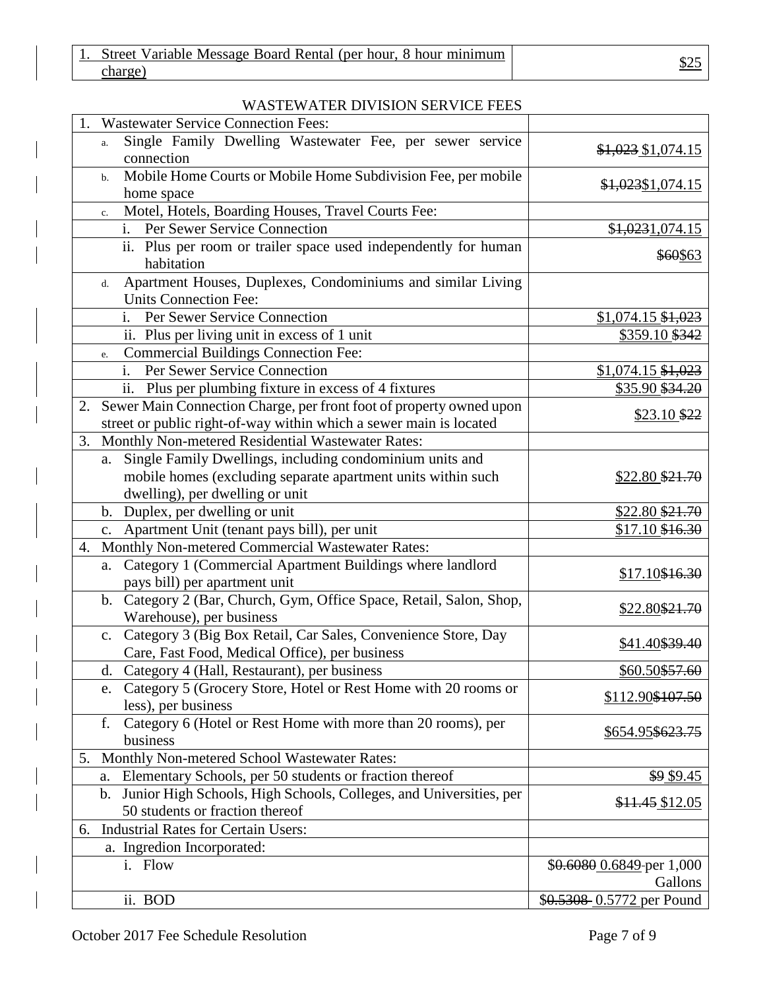| Street Variable Message Board Rental (per hour, 8 hour minimum |     |
|----------------------------------------------------------------|-----|
| charge <sup>-</sup>                                            | DZ. |

#### WASTEWATER DIVISION SERVICE FEES

| 1. | <b>Wastewater Service Connection Fees:</b>                               |                              |
|----|--------------------------------------------------------------------------|------------------------------|
|    | Single Family Dwelling Wastewater Fee, per sewer service<br>a.           | $$1,023$ \$1,074.15          |
|    | connection                                                               |                              |
|    | Mobile Home Courts or Mobile Home Subdivision Fee, per mobile<br>$h_{-}$ | \$1,023\$1,074.15            |
|    | home space                                                               |                              |
|    | Motel, Hotels, Boarding Houses, Travel Courts Fee:<br>$\mathbf{c}$ .     |                              |
|    | i. Per Sewer Service Connection                                          | \$1,0231,074.15              |
|    | ii. Plus per room or trailer space used independently for human          | \$60\$63                     |
|    | habitation                                                               |                              |
|    | Apartment Houses, Duplexes, Condominiums and similar Living<br>d.        |                              |
|    | <b>Units Connection Fee:</b>                                             |                              |
|    | i. Per Sewer Service Connection                                          | $$1,074.15$ $$1,023$         |
|    | ii. Plus per living unit in excess of 1 unit                             | \$359.10 \$342               |
|    | <b>Commercial Buildings Connection Fee:</b><br>e.                        |                              |
|    | Per Sewer Service Connection<br>$i$ .                                    | $$1,074.15$ \$1,023          |
|    | ii. Plus per plumbing fixture in excess of 4 fixtures                    | \$35.90 \$34.20              |
| 2. | Sewer Main Connection Charge, per front foot of property owned upon      | $$23.10$ \$22                |
|    | street or public right-of-way within which a sewer main is located       |                              |
| 3. | Monthly Non-metered Residential Wastewater Rates:                        |                              |
|    | Single Family Dwellings, including condominium units and<br>a.           |                              |
|    | mobile homes (excluding separate apartment units within such             | \$22.80 \$21.70              |
|    | dwelling), per dwelling or unit                                          |                              |
|    | b. Duplex, per dwelling or unit                                          | \$22.80 \$21.70              |
|    | c. Apartment Unit (tenant pays bill), per unit                           | \$17.10 \$16.30              |
| 4. | Monthly Non-metered Commercial Wastewater Rates:                         |                              |
|    | a. Category 1 (Commercial Apartment Buildings where landlord             | \$17.10 <del>\$16.30</del>   |
|    | pays bill) per apartment unit                                            |                              |
|    | b. Category 2 (Bar, Church, Gym, Office Space, Retail, Salon, Shop,      | \$22.80 <del>\$21.70</del>   |
|    | Warehouse), per business                                                 |                              |
|    | c. Category 3 (Big Box Retail, Car Sales, Convenience Store, Day         | \$41.40\$39.40               |
|    | Care, Fast Food, Medical Office), per business                           |                              |
|    | d. Category 4 (Hall, Restaurant), per business                           | \$60.50\$57.60               |
|    | e. Category 5 (Grocery Store, Hotel or Rest Home with 20 rooms or        | \$112.90 <del>\$107.50</del> |
|    | less), per business                                                      |                              |
|    | Category 6 (Hotel or Rest Home with more than 20 rooms), per<br>f.       | \$654.95\$623.75             |
|    | business                                                                 |                              |
| 5. | Monthly Non-metered School Wastewater Rates:                             |                              |
|    | Elementary Schools, per 50 students or fraction thereof<br>a.            | \$9 \$9.45                   |
|    | b. Junior High Schools, High Schools, Colleges, and Universities, per    | \$11.45 \$12.05              |
|    | 50 students or fraction thereof                                          |                              |
| 6. | <b>Industrial Rates for Certain Users:</b>                               |                              |
|    | a. Ingredion Incorporated:                                               |                              |
|    | i. Flow                                                                  | \$0.6080 0.6849-per 1,000    |
|    |                                                                          | Gallons                      |
|    | ii. BOD                                                                  | \$0.5308 0.5772 per Pound    |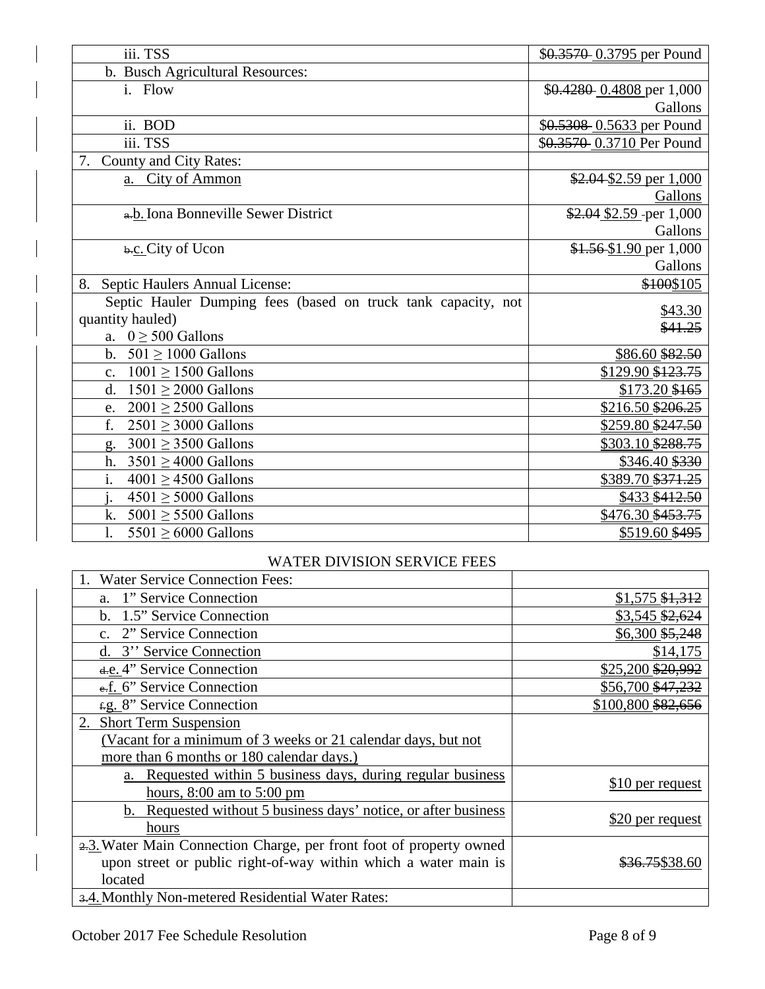| iii. TSS                                                      | \$0.3570 0.3795 per Pound |
|---------------------------------------------------------------|---------------------------|
| b. Busch Agricultural Resources:                              |                           |
| i. Flow                                                       | \$0.4280 0.4808 per 1,000 |
|                                                               | Gallons                   |
| ii. BOD                                                       | \$0.5308 0.5633 per Pound |
| iii. TSS                                                      | \$0.3570 0.3710 Per Pound |
| 7. County and City Rates:                                     |                           |
| a. City of Ammon                                              | $$2.04$2.59$ per 1,000    |
|                                                               | Gallons                   |
| a.b. Iona Bonneville Sewer District                           | $$2.04$ \$2.59 per 1,000  |
|                                                               | Gallons                   |
| b.c. City of Ucon                                             | $$1.56 $1.90$ per 1,000   |
|                                                               | Gallons                   |
| Septic Haulers Annual License:<br>8.                          | \$100\$105                |
| Septic Hauler Dumping fees (based on truck tank capacity, not | \$43.30                   |
| quantity hauled)                                              | \$41.25                   |
| a. $0 \geq 500$ Gallons                                       |                           |
| $501 \ge 1000$ Gallons<br>$\mathbf{b}$ .                      | \$86.60 \$82.50           |
| $1001 \ge 1500$ Gallons<br>$\mathbf{c}$ .                     | \$129.90 \$123.75         |
| $1501 \geq 2000$ Gallons<br>$\mathbf{d}$ .                    | $$173.20$ \$165           |
| $2001 \geq 2500$ Gallons<br>e.                                | \$216.50 \$206.25         |
| f.<br>$2501 \geq 3000$ Gallons                                | \$259.80 \$247.50         |
| $3001 \geq 3500$ Gallons<br>g.                                | \$303.10 \$288.75         |
| $3501 > 4000$ Gallons<br>h.                                   | \$346.40 \$330            |
| i.<br>$4001 \ge 4500$ Gallons                                 | \$389.70 \$371.25         |
| $4501 \geq 5000$ Gallons                                      | \$433 \$412.50            |
|                                                               |                           |
| $5001 \geq 5500$ Gallons<br>k.<br>$5501 \geq 6000$ Gallons    | \$476.30 \$453.75         |

#### WATER DIVISION SERVICE FEES

| <b>Water Service Connection Fees:</b>                               |                            |
|---------------------------------------------------------------------|----------------------------|
| a. 1" Service Connection                                            | $$1,575$ \$1,312           |
| b. 1.5" Service Connection                                          | \$3,545 \$2,624            |
| c. 2" Service Connection                                            | \$6,300 \$5,248            |
| d. 3" Service Connection                                            | \$14,175                   |
| d.e. 4" Service Connection                                          | \$25,200 \$20,992          |
| e.f. 6" Service Connection                                          | \$56,700 \$47,232          |
| f.g. 8" Service Connection                                          | \$100,800 \$82,656         |
| 2. Short Term Suspension                                            |                            |
| (Vacant for a minimum of 3 weeks or 21 calendar days, but not       |                            |
| more than 6 months or 180 calendar days.)                           |                            |
| a. Requested within 5 business days, during regular business        | \$10 per request           |
| hours, $8:00$ am to $5:00$ pm                                       |                            |
| b. Requested without 5 business days' notice, or after business     | \$20 per request           |
| hours                                                               |                            |
| 2.3. Water Main Connection Charge, per front foot of property owned |                            |
| upon street or public right-of-way within which a water main is     | <del>\$36.75</del> \$38.60 |
| located                                                             |                            |
| 3.4. Monthly Non-metered Residential Water Rates:                   |                            |